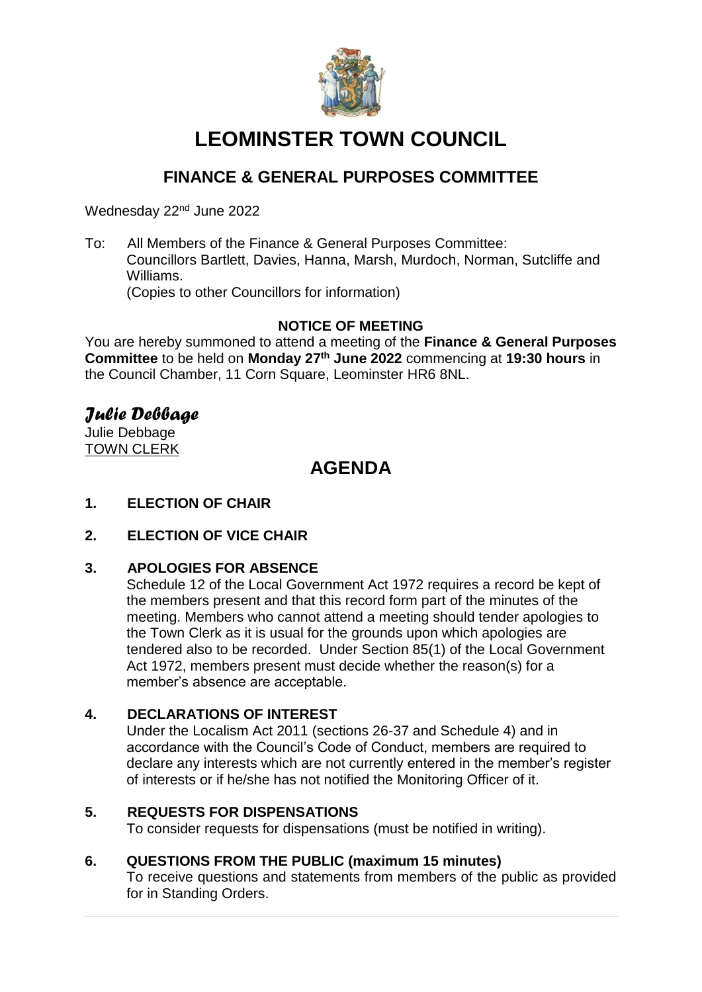

# **LEOMINSTER TOWN COUNCIL**

# **FINANCE & GENERAL PURPOSES COMMITTEE**

Wednesday 22<sup>nd</sup> June 2022

To: All Members of the Finance & General Purposes Committee: Councillors Bartlett, Davies, Hanna, Marsh, Murdoch, Norman, Sutcliffe and Williams. (Copies to other Councillors for information)

# **NOTICE OF MEETING**

You are hereby summoned to attend a meeting of the **Finance & General Purposes Committee** to be held on **Monday 27th June 2022** commencing at **19:30 hours** in the Council Chamber, 11 Corn Square, Leominster HR6 8NL.

# *Julie Debbage*

Julie Debbage TOWN CLERK

# **AGENDA**

# **1. ELECTION OF CHAIR**

**2. ELECTION OF VICE CHAIR**

# **3. APOLOGIES FOR ABSENCE**

Schedule 12 of the Local Government Act 1972 requires a record be kept of the members present and that this record form part of the minutes of the meeting. Members who cannot attend a meeting should tender apologies to the Town Clerk as it is usual for the grounds upon which apologies are tendered also to be recorded. Under Section 85(1) of the Local Government Act 1972, members present must decide whether the reason(s) for a member's absence are acceptable.

# **4. DECLARATIONS OF INTEREST**

Under the Localism Act 2011 (sections 26-37 and Schedule 4) and in accordance with the Council's Code of Conduct, members are required to declare any interests which are not currently entered in the member's register of interests or if he/she has not notified the Monitoring Officer of it.

# **5. REQUESTS FOR DISPENSATIONS**

To consider requests for dispensations (must be notified in writing).

# **6. QUESTIONS FROM THE PUBLIC (maximum 15 minutes)**

To receive questions and statements from members of the public as provided for in Standing Orders.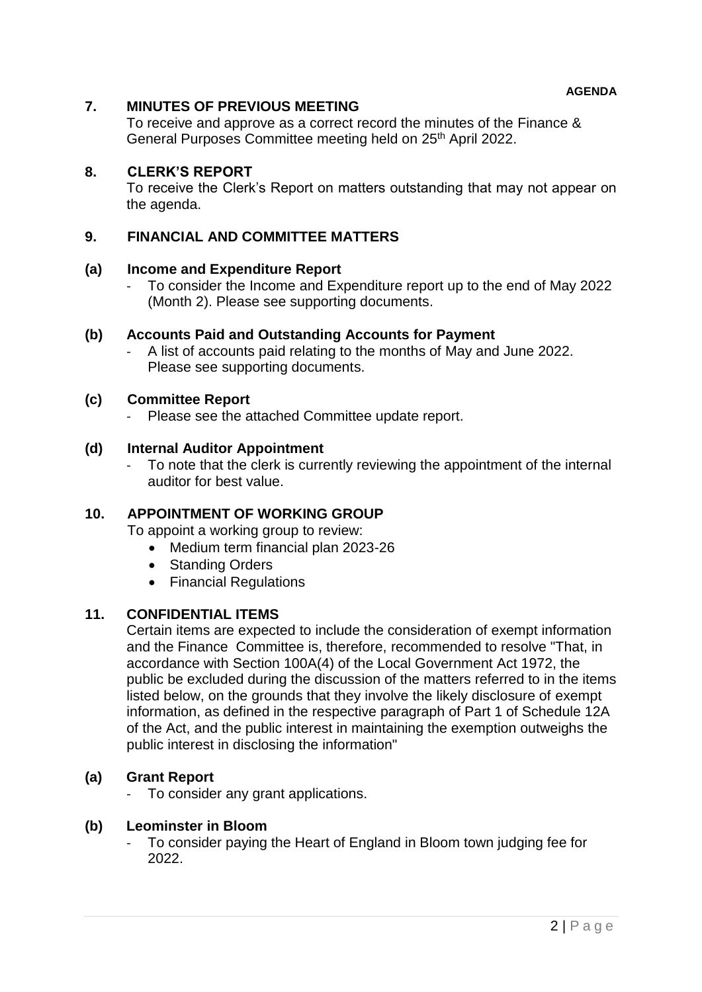# **7. MINUTES OF PREVIOUS MEETING**

To receive and approve as a correct record the minutes of the Finance & General Purposes Committee meeting held on 25<sup>th</sup> April 2022.

# **8. CLERK'S REPORT**

To receive the Clerk's Report on matters outstanding that may not appear on the agenda.

### **9. FINANCIAL AND COMMITTEE MATTERS**

#### **(a) Income and Expenditure Report**

- To consider the Income and Expenditure report up to the end of May 2022 (Month 2). Please see supporting documents.

### **(b) Accounts Paid and Outstanding Accounts for Payment**

- A list of accounts paid relating to the months of May and June 2022. Please see supporting documents.

#### **(c) Committee Report**

Please see the attached Committee update report.

### **(d) Internal Auditor Appointment**

To note that the clerk is currently reviewing the appointment of the internal auditor for best value.

# **10. APPOINTMENT OF WORKING GROUP**

To appoint a working group to review:

- Medium term financial plan 2023-26
- Standing Orders
- Financial Regulations

#### **11. CONFIDENTIAL ITEMS**

Certain items are expected to include the consideration of exempt information and the Finance Committee is, therefore, recommended to resolve "That, in accordance with Section 100A(4) of the Local Government Act 1972, the public be excluded during the discussion of the matters referred to in the items listed below, on the grounds that they involve the likely disclosure of exempt information, as defined in the respective paragraph of Part 1 of Schedule 12A of the Act, and the public interest in maintaining the exemption outweighs the public interest in disclosing the information"

# **(a) Grant Report**

- To consider any grant applications.

#### **(b) Leominster in Bloom**

To consider paying the Heart of England in Bloom town judging fee for 2022.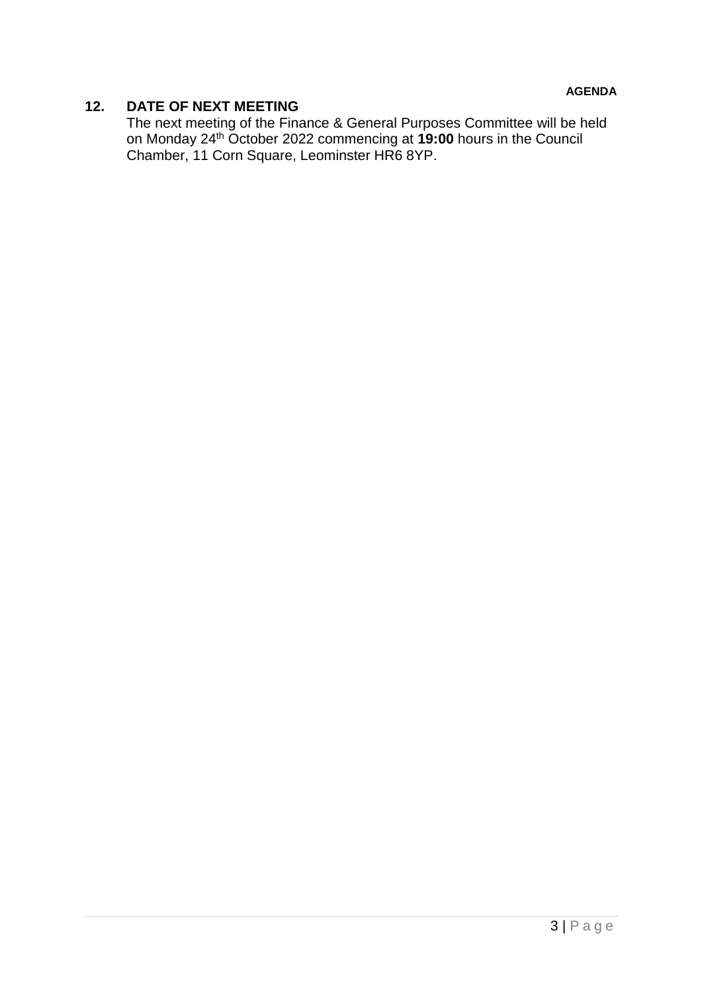# **12. DATE OF NEXT MEETING**

The next meeting of the Finance & General Purposes Committee will be held on Monday 24th October 2022 commencing at **19:00** hours in the Council Chamber, 11 Corn Square, Leominster HR6 8YP.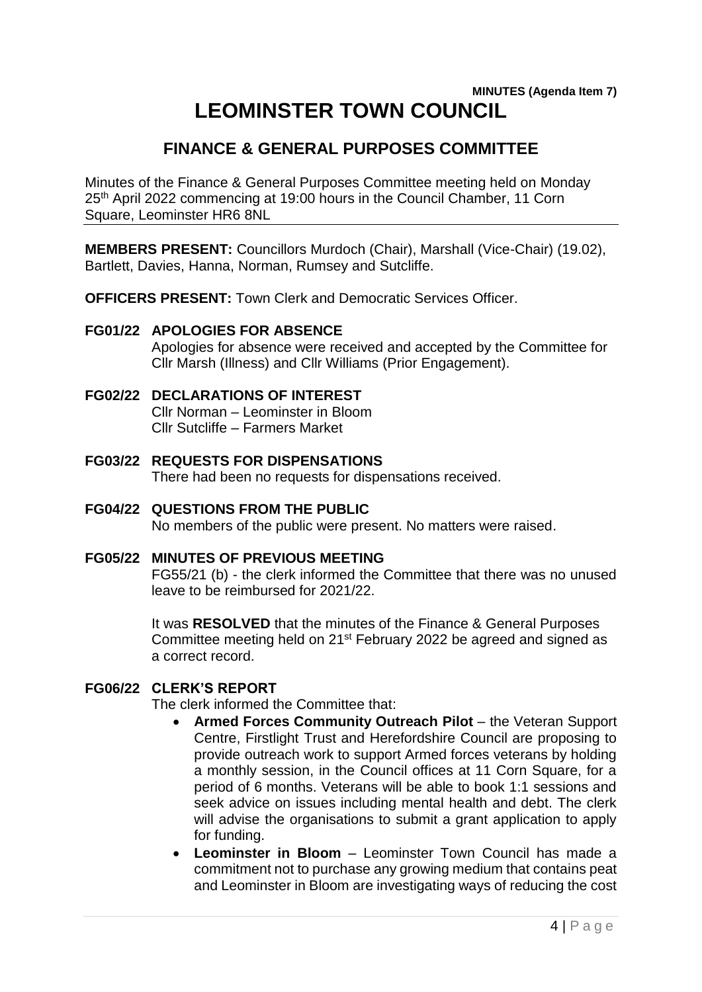# **MINUTES (Agenda Item 7) LEOMINSTER TOWN COUNCIL**

# **FINANCE & GENERAL PURPOSES COMMITTEE**

Minutes of the Finance & General Purposes Committee meeting held on Monday 25<sup>th</sup> April 2022 commencing at 19:00 hours in the Council Chamber, 11 Corn Square, Leominster HR6 8NL

**MEMBERS PRESENT:** Councillors Murdoch (Chair), Marshall (Vice-Chair) (19.02), Bartlett, Davies, Hanna, Norman, Rumsey and Sutcliffe.

**OFFICERS PRESENT:** Town Clerk and Democratic Services Officer.

# **FG01/22 APOLOGIES FOR ABSENCE**

Apologies for absence were received and accepted by the Committee for Cllr Marsh (Illness) and Cllr Williams (Prior Engagement).

# **FG02/22 DECLARATIONS OF INTEREST**

Cllr Norman – Leominster in Bloom Cllr Sutcliffe – Farmers Market

- **FG03/22 REQUESTS FOR DISPENSATIONS** There had been no requests for dispensations received.
- **FG04/22 QUESTIONS FROM THE PUBLIC** No members of the public were present. No matters were raised.
- **FG05/22 MINUTES OF PREVIOUS MEETING**

FG55/21 (b) - the clerk informed the Committee that there was no unused leave to be reimbursed for 2021/22.

It was **RESOLVED** that the minutes of the Finance & General Purposes Committee meeting held on 21st February 2022 be agreed and signed as a correct record.

# **FG06/22 CLERK'S REPORT**

The clerk informed the Committee that:

- **Armed Forces Community Outreach Pilot** the Veteran Support Centre, Firstlight Trust and Herefordshire Council are proposing to provide outreach work to support Armed forces veterans by holding a monthly session, in the Council offices at 11 Corn Square, for a period of 6 months. Veterans will be able to book 1:1 sessions and seek advice on issues including mental health and debt. The clerk will advise the organisations to submit a grant application to apply for funding.
- **Leominster in Bloom**  Leominster Town Council has made a commitment not to purchase any growing medium that contains peat and Leominster in Bloom are investigating ways of reducing the cost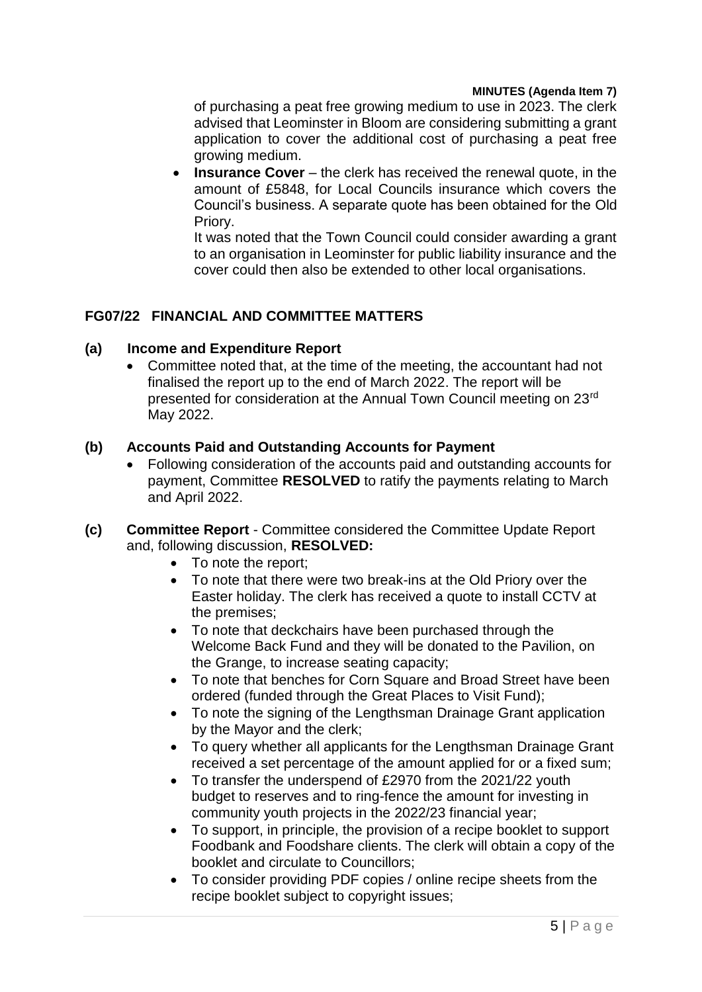### **MINUTES (Agenda Item 7)**

of purchasing a peat free growing medium to use in 2023. The clerk advised that Leominster in Bloom are considering submitting a grant application to cover the additional cost of purchasing a peat free growing medium.

**Insurance Cover** – the clerk has received the renewal quote, in the amount of £5848, for Local Councils insurance which covers the Council's business. A separate quote has been obtained for the Old Priory.

It was noted that the Town Council could consider awarding a grant to an organisation in Leominster for public liability insurance and the cover could then also be extended to other local organisations.

# **FG07/22 FINANCIAL AND COMMITTEE MATTERS**

# **(a) Income and Expenditure Report**

 Committee noted that, at the time of the meeting, the accountant had not finalised the report up to the end of March 2022. The report will be presented for consideration at the Annual Town Council meeting on 23rd May 2022.

### **(b) Accounts Paid and Outstanding Accounts for Payment**

- Following consideration of the accounts paid and outstanding accounts for payment, Committee **RESOLVED** to ratify the payments relating to March and April 2022.
- **(c) Committee Report** Committee considered the Committee Update Report and, following discussion, **RESOLVED:**
	- To note the report;
	- To note that there were two break-ins at the Old Priory over the Easter holiday. The clerk has received a quote to install CCTV at the premises;
	- To note that deckchairs have been purchased through the Welcome Back Fund and they will be donated to the Pavilion, on the Grange, to increase seating capacity;
	- To note that benches for Corn Square and Broad Street have been ordered (funded through the Great Places to Visit Fund);
	- To note the signing of the Lengthsman Drainage Grant application by the Mayor and the clerk;
	- To query whether all applicants for the Lengthsman Drainage Grant received a set percentage of the amount applied for or a fixed sum;
	- To transfer the underspend of £2970 from the 2021/22 youth budget to reserves and to ring-fence the amount for investing in community youth projects in the 2022/23 financial year;
	- To support, in principle, the provision of a recipe booklet to support Foodbank and Foodshare clients. The clerk will obtain a copy of the booklet and circulate to Councillors;
	- To consider providing PDF copies / online recipe sheets from the recipe booklet subject to copyright issues;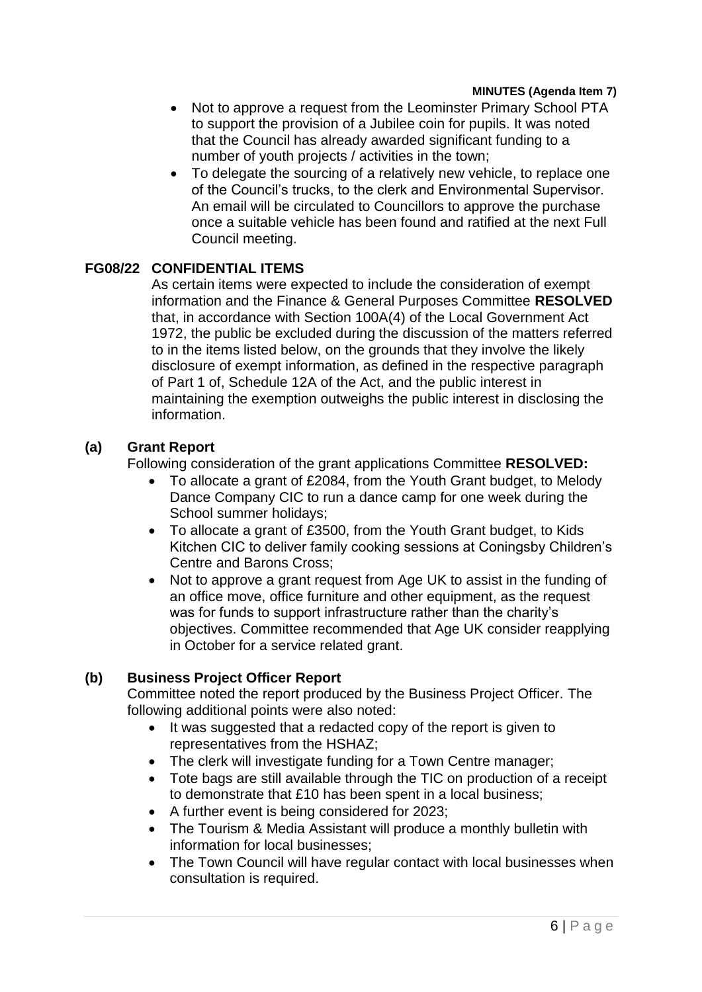### **MINUTES (Agenda Item 7)**

- Not to approve a request from the Leominster Primary School PTA to support the provision of a Jubilee coin for pupils. It was noted that the Council has already awarded significant funding to a number of youth projects / activities in the town;
- To delegate the sourcing of a relatively new vehicle, to replace one of the Council's trucks, to the clerk and Environmental Supervisor. An email will be circulated to Councillors to approve the purchase once a suitable vehicle has been found and ratified at the next Full Council meeting.

# **FG08/22 CONFIDENTIAL ITEMS**

As certain items were expected to include the consideration of exempt information and the Finance & General Purposes Committee **RESOLVED**  that, in accordance with Section 100A(4) of the Local Government Act 1972, the public be excluded during the discussion of the matters referred to in the items listed below, on the grounds that they involve the likely disclosure of exempt information, as defined in the respective paragraph of Part 1 of, Schedule 12A of the Act, and the public interest in maintaining the exemption outweighs the public interest in disclosing the information.

# **(a) Grant Report**

Following consideration of the grant applications Committee **RESOLVED:**

- To allocate a grant of £2084, from the Youth Grant budget, to Melody Dance Company CIC to run a dance camp for one week during the School summer holidays;
- To allocate a grant of £3500, from the Youth Grant budget, to Kids Kitchen CIC to deliver family cooking sessions at Coningsby Children's Centre and Barons Cross;
- Not to approve a grant request from Age UK to assist in the funding of an office move, office furniture and other equipment, as the request was for funds to support infrastructure rather than the charity's objectives. Committee recommended that Age UK consider reapplying in October for a service related grant.

# **(b) Business Project Officer Report**

Committee noted the report produced by the Business Project Officer. The following additional points were also noted:

- It was suggested that a redacted copy of the report is given to representatives from the HSHAZ;
- The clerk will investigate funding for a Town Centre manager;
- Tote bags are still available through the TIC on production of a receipt to demonstrate that £10 has been spent in a local business;
- A further event is being considered for 2023;
- The Tourism & Media Assistant will produce a monthly bulletin with information for local businesses;
- The Town Council will have regular contact with local businesses when consultation is required.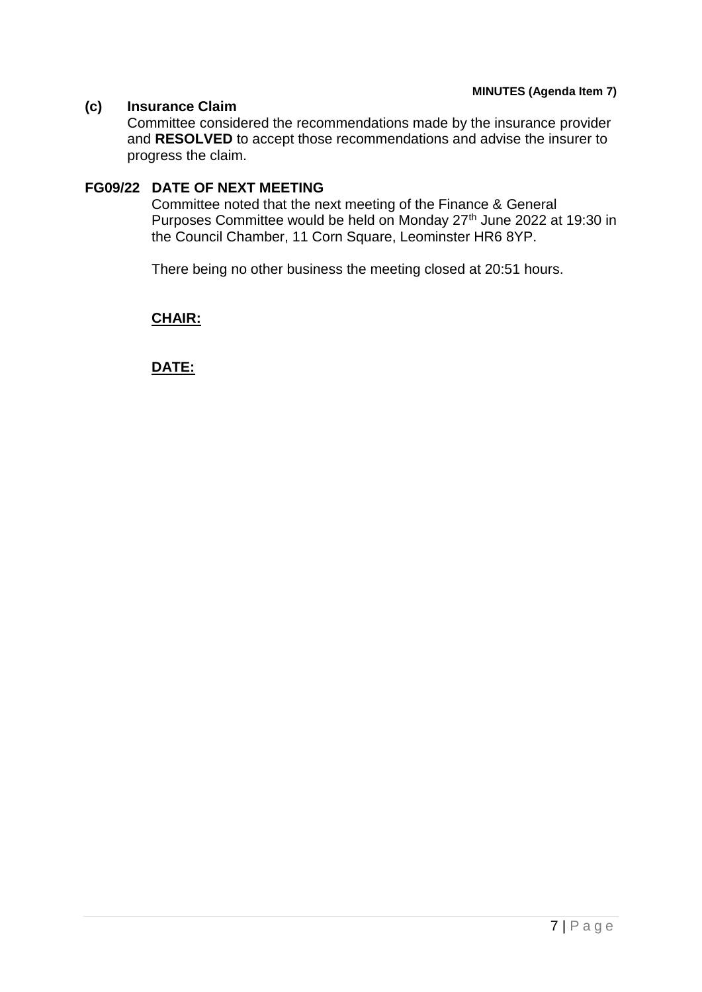# **(c) Insurance Claim**

Committee considered the recommendations made by the insurance provider and **RESOLVED** to accept those recommendations and advise the insurer to progress the claim.

# **FG09/22 DATE OF NEXT MEETING**

Committee noted that the next meeting of the Finance & General Purposes Committee would be held on Monday 27<sup>th</sup> June 2022 at 19:30 in the Council Chamber, 11 Corn Square, Leominster HR6 8YP.

There being no other business the meeting closed at 20:51 hours.

# **CHAIR:**

**DATE:**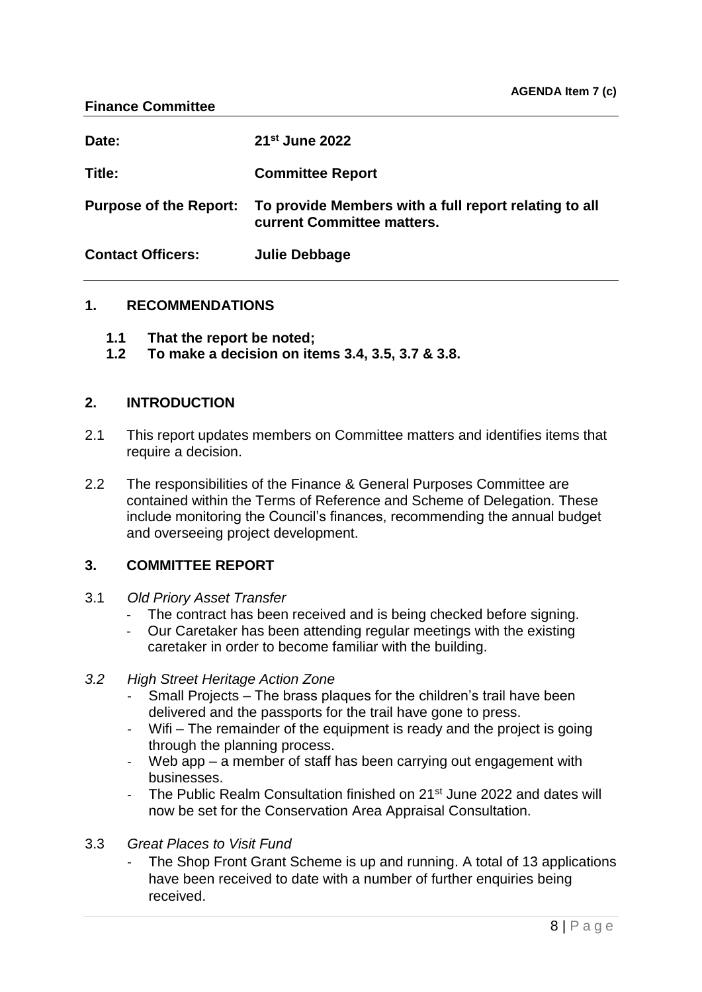| Date:                    | 21 <sup>st</sup> June 2022                                                                                 |
|--------------------------|------------------------------------------------------------------------------------------------------------|
| Title:                   | <b>Committee Report</b>                                                                                    |
|                          | Purpose of the Report: To provide Members with a full report relating to all<br>current Committee matters. |
| <b>Contact Officers:</b> | Julie Debbage                                                                                              |

# **1. RECOMMENDATIONS**

- **1.1 That the report be noted;**
- **1.2 To make a decision on items 3.4, 3.5, 3.7 & 3.8.**

# **2. INTRODUCTION**

- 2.1 This report updates members on Committee matters and identifies items that require a decision.
- 2.2 The responsibilities of the Finance & General Purposes Committee are contained within the Terms of Reference and Scheme of Delegation. These include monitoring the Council's finances, recommending the annual budget and overseeing project development.

# **3. COMMITTEE REPORT**

- 3.1 *Old Priory Asset Transfer*
	- The contract has been received and is being checked before signing.
	- Our Caretaker has been attending regular meetings with the existing caretaker in order to become familiar with the building.
- *3.2 High Street Heritage Action Zone*
	- Small Projects The brass plaques for the children's trail have been delivered and the passports for the trail have gone to press.
	- Wifi The remainder of the equipment is ready and the project is going through the planning process.
	- Web app a member of staff has been carrying out engagement with businesses.
	- The Public Realm Consultation finished on 21<sup>st</sup> June 2022 and dates will now be set for the Conservation Area Appraisal Consultation.
- 3.3 *Great Places to Visit Fund*
	- The Shop Front Grant Scheme is up and running. A total of 13 applications have been received to date with a number of further enquiries being received.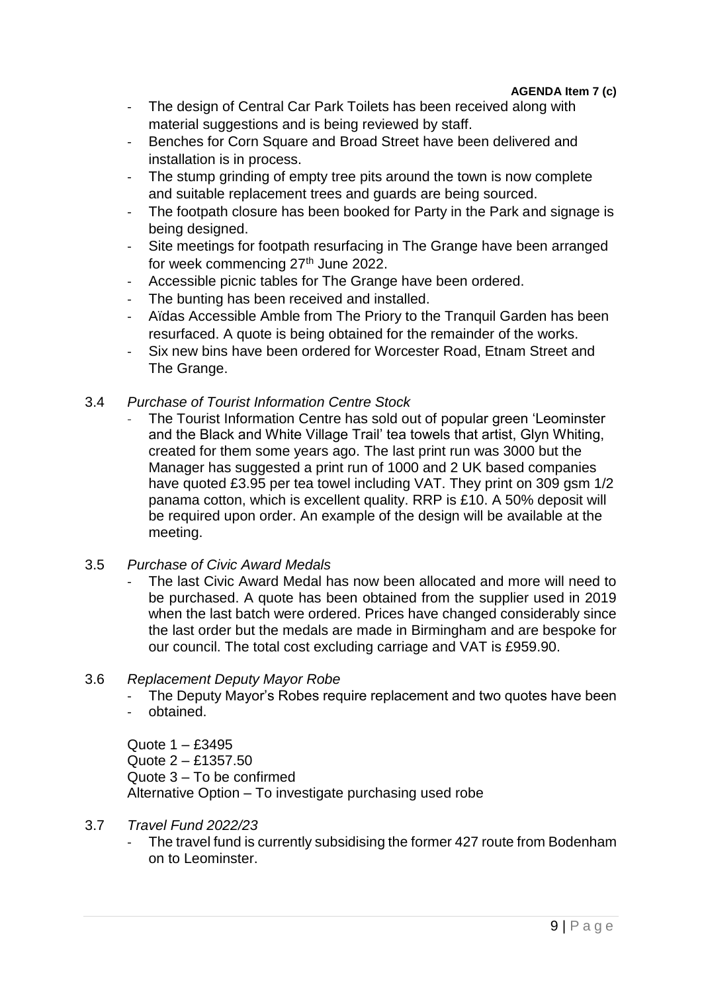- The design of Central Car Park Toilets has been received along with material suggestions and is being reviewed by staff.
- Benches for Corn Square and Broad Street have been delivered and installation is in process.
- The stump grinding of empty tree pits around the town is now complete and suitable replacement trees and guards are being sourced.
- The footpath closure has been booked for Party in the Park and signage is being designed.
- Site meetings for footpath resurfacing in The Grange have been arranged for week commencing 27<sup>th</sup> June 2022.
- Accessible picnic tables for The Grange have been ordered.
- The bunting has been received and installed.
- Aïdas Accessible Amble from The Priory to the Tranquil Garden has been resurfaced. A quote is being obtained for the remainder of the works.
- Six new bins have been ordered for Worcester Road, Etnam Street and The Grange.
- 3.4 *Purchase of Tourist Information Centre Stock*
	- The Tourist Information Centre has sold out of popular green 'Leominster and the Black and White Village Trail' tea towels that artist, Glyn Whiting, created for them some years ago. The last print run was 3000 but the Manager has suggested a print run of 1000 and 2 UK based companies have quoted £3.95 per tea towel including VAT. They print on 309 gsm 1/2 panama cotton, which is excellent quality. RRP is £10. A 50% deposit will be required upon order. An example of the design will be available at the meeting.

# 3.5 *Purchase of Civic Award Medals*

The last Civic Award Medal has now been allocated and more will need to be purchased. A quote has been obtained from the supplier used in 2019 when the last batch were ordered. Prices have changed considerably since the last order but the medals are made in Birmingham and are bespoke for our council. The total cost excluding carriage and VAT is £959.90.

# 3.6 *Replacement Deputy Mayor Robe*

- The Deputy Mayor's Robes require replacement and two quotes have been
- obtained.

Quote 1 – £3495 Quote 2 – £1357.50 Quote 3 – To be confirmed Alternative Option – To investigate purchasing used robe

# 3.7 *Travel Fund 2022/23*

The travel fund is currently subsidising the former 427 route from Bodenham on to Leominster.